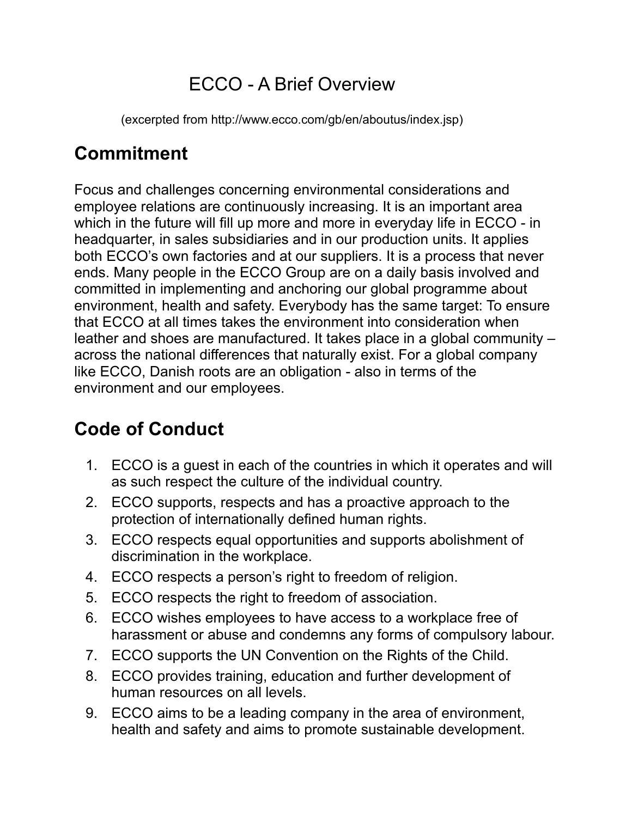### ECCO - A Brief Overview

(excerpted from http://www.ecco.com/gb/en/aboutus/index.jsp)

### **Commitment**

Focus and challenges concerning environmental considerations and employee relations are continuously increasing. It is an important area which in the future will fill up more and more in everyday life in ECCO - in headquarter, in sales subsidiaries and in our production units. It applies both ECCO's own factories and at our suppliers. It is a process that never ends. Many people in the ECCO Group are on a daily basis involved and committed in implementing and anchoring our global programme about environment, health and safety. Everybody has the same target: To ensure that ECCO at all times takes the environment into consideration when leather and shoes are manufactured. It takes place in a global community – across the national differences that naturally exist. For a global company like ECCO, Danish roots are an obligation - also in terms of the environment and our employees.

## **Code of Conduct**

- 1. ECCO is a guest in each of the countries in which it operates and will as such respect the culture of the individual country.
- 2. ECCO supports, respects and has a proactive approach to the protection of internationally defined human rights.
- 3. ECCO respects equal opportunities and supports abolishment of discrimination in the workplace.
- 4. ECCO respects a person's right to freedom of religion.
- 5. ECCO respects the right to freedom of association.
- 6. ECCO wishes employees to have access to a workplace free of harassment or abuse and condemns any forms of compulsory labour.
- 7. ECCO supports the UN Convention on the Rights of the Child.
- 8. ECCO provides training, education and further development of human resources on all levels.
- 9. ECCO aims to be a leading company in the area of environment, health and safety and aims to promote sustainable development.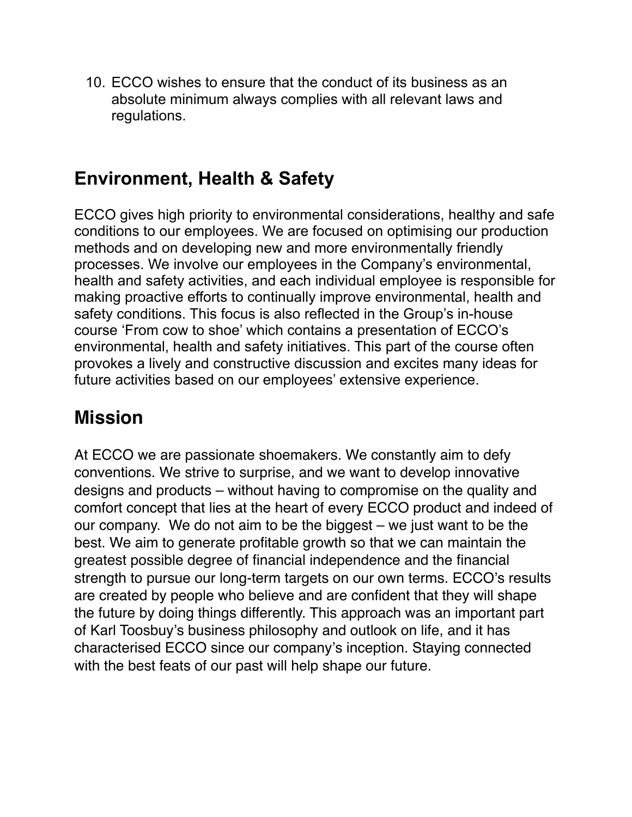10. ECCO wishes to ensure that the conduct of its business as an absolute minimum always complies with all relevant laws and regulations.

### **Environment, Health & Safety**

ECCO gives high priority to environmental considerations, healthy and safe conditions to our employees. We are focused on optimising our production methods and on developing new and more environmentally friendly processes. We involve our employees in the Company's environmental, health and safety activities, and each individual employee is responsible for making proactive efforts to continually improve environmental, health and safety conditions. This focus is also reflected in the Group's in-house course 'From cow to shoe' which contains a presentation of ECCO's environmental, health and safety initiatives. This part of the course often provokes a lively and constructive discussion and excites many ideas for future activities based on our employees' extensive experience.

#### **Mission**

At ECCO we are passionate shoemakers. We constantly aim to defy conventions. We strive to surprise, and we want to develop innovative designs and products – without having to compromise on the quality and comfort concept that lies at the heart of every ECCO product and indeed of our company. We do not aim to be the biggest – we just want to be the best. We aim to generate profitable growth so that we can maintain the greatest possible degree of financial independence and the financial strength to pursue our long-term targets on our own terms. ECCO's results are created by people who believe and are confident that they will shape the future by doing things differently. This approach was an important part of Karl Toosbuy's business philosophy and outlook on life, and it has characterised ECCO since our company's inception. Staying connected with the best feats of our past will help shape our future.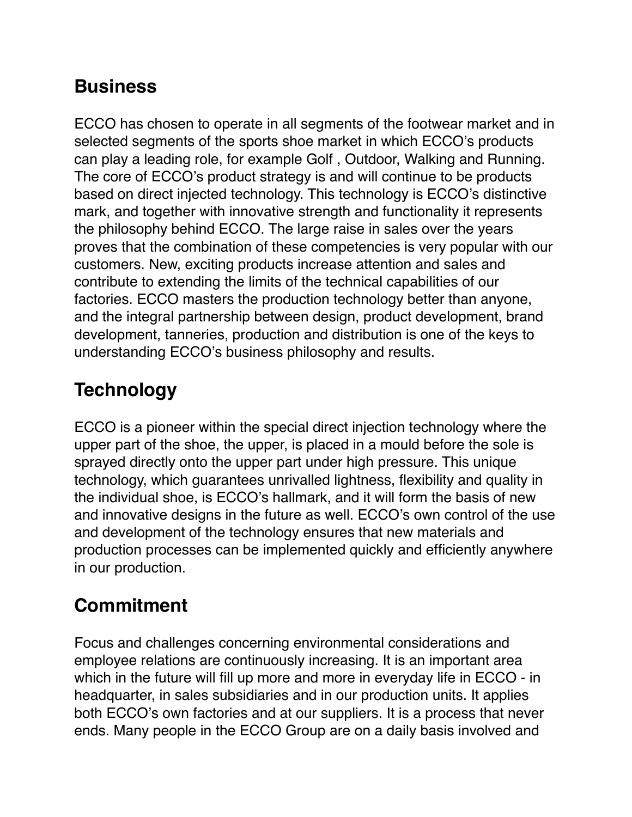### **Business**

ECCO has chosen to operate in all segments of the footwear market and in selected segments of the sports shoe market in which ECCO's products can play a leading role, for example Golf , Outdoor, Walking and Running. The core of ECCO's product strategy is and will continue to be products based on direct injected technology. This technology is ECCO's distinctive mark, and together with innovative strength and functionality it represents the philosophy behind ECCO. The large raise in sales over the years proves that the combination of these competencies is very popular with our customers. New, exciting products increase attention and sales and contribute to extending the limits of the technical capabilities of our factories. ECCO masters the production technology better than anyone, and the integral partnership between design, product development, brand development, tanneries, production and distribution is one of the keys to understanding ECCO's business philosophy and results.

## **Technology**

ECCO is a pioneer within the special direct injection technology where the upper part of the shoe, the upper, is placed in a mould before the sole is sprayed directly onto the upper part under high pressure. This unique technology, which guarantees unrivalled lightness, flexibility and quality in the individual shoe, is ECCO's hallmark, and it will form the basis of new and innovative designs in the future as well. ECCO's own control of the use and development of the technology ensures that new materials and production processes can be implemented quickly and efficiently anywhere in our production.

## **Commitment**

Focus and challenges concerning environmental considerations and employee relations are continuously increasing. It is an important area which in the future will fill up more and more in everyday life in ECCO - in headquarter, in sales subsidiaries and in our production units. It applies both ECCO's own factories and at our suppliers. It is a process that never ends. Many people in the ECCO Group are on a daily basis involved and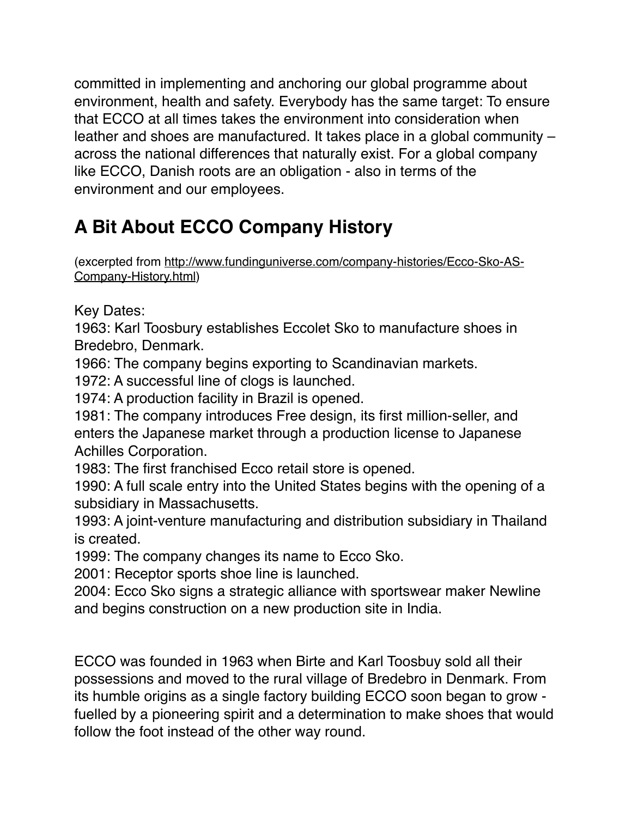committed in implementing and anchoring our global programme about environment, health and safety. Everybody has the same target: To ensure that ECCO at all times takes the environment into consideration when leather and shoes are manufactured. It takes place in a global community – across the national differences that naturally exist. For a global company like ECCO, Danish roots are an obligation - also in terms of the environment and our employees.

# **A Bit About ECCO Company History**

(excerpted from [http://www.fundinguniverse.com/company-histories/Ecco-Sko-AS-](http://www.fundinguniverse.com/company-histories/Ecco-Sko-AS-Company-History.html)[Company-History.html\)](http://www.fundinguniverse.com/company-histories/Ecco-Sko-AS-Company-History.html)

Key Dates:

1963: Karl Toosbury establishes Eccolet Sko to manufacture shoes in Bredebro, Denmark.

1966: The company begins exporting to Scandinavian markets.

1972: A successful line of clogs is launched.

1974: A production facility in Brazil is opened.

1981: The company introduces Free design, its first million-seller, and enters the Japanese market through a production license to Japanese Achilles Corporation.

1983: The first franchised Ecco retail store is opened.

1990: A full scale entry into the United States begins with the opening of a subsidiary in Massachusetts.

1993: A joint-venture manufacturing and distribution subsidiary in Thailand is created.

1999: The company changes its name to Ecco Sko.

2001: Receptor sports shoe line is launched.

2004: Ecco Sko signs a strategic alliance with sportswear maker Newline and begins construction on a new production site in India.

ECCO was founded in 1963 when Birte and Karl Toosbuy sold all their possessions and moved to the rural village of Bredebro in Denmark. From its humble origins as a single factory building ECCO soon began to grow fuelled by a pioneering spirit and a determination to make shoes that would follow the foot instead of the other way round.